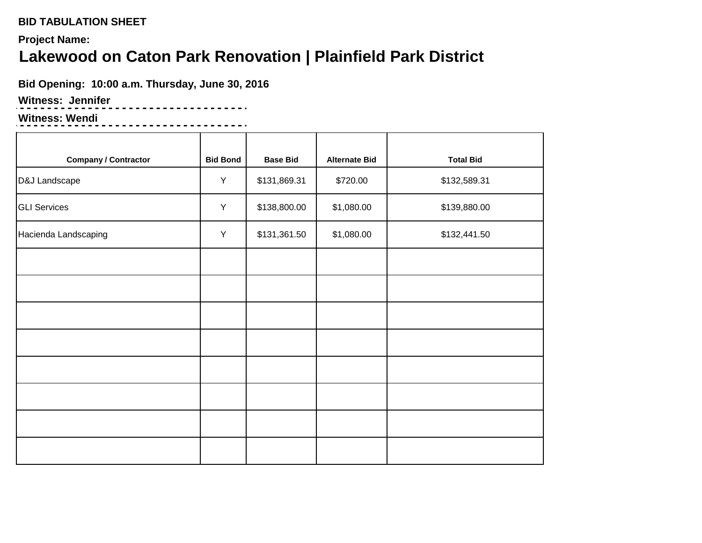**Project Name:**

# **Lakewood on Caton Park Renovation | Plainfield Park District**

**Bid Opening: 10:00 a.m. Thursday, June 30, 2016**

<u>----------------</u>

### **Witness: Jennifer**

### **Witness: Wendi**

<u>--------------------</u>

| <b>Company / Contractor</b> | <b>Bid Bond</b> | <b>Base Bid</b> | <b>Alternate Bid</b> | <b>Total Bid</b> |
|-----------------------------|-----------------|-----------------|----------------------|------------------|
| D&J Landscape               | Y               | \$131,869.31    | \$720.00             | \$132,589.31     |
| <b>GLI Services</b>         | $\sf Y$         | \$138,800.00    | \$1,080.00           | \$139,880.00     |
| Hacienda Landscaping        | Y               | \$131,361.50    | \$1,080.00           | \$132,441.50     |
|                             |                 |                 |                      |                  |
|                             |                 |                 |                      |                  |
|                             |                 |                 |                      |                  |
|                             |                 |                 |                      |                  |
|                             |                 |                 |                      |                  |
|                             |                 |                 |                      |                  |
|                             |                 |                 |                      |                  |
|                             |                 |                 |                      |                  |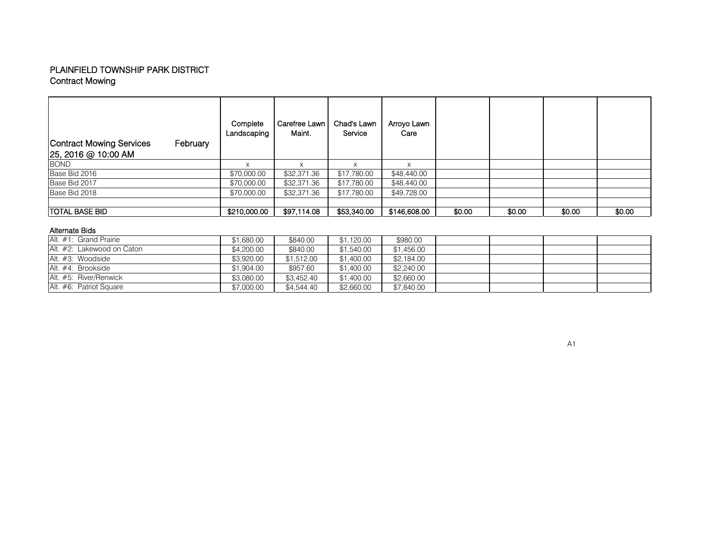#### Contract Mowing PLAINFIELD TOWNSHIP PARK DISTRICT

| Contract Mowing Services<br>February<br>25, 2016 @ 10:00 AM | Complete<br>Landscaping | Carefree Lawn<br>Maint. | Chad's Lawn<br>Service | Arroyo Lawn<br>Care |        |        |        |        |
|-------------------------------------------------------------|-------------------------|-------------------------|------------------------|---------------------|--------|--------|--------|--------|
| <b>BOND</b>                                                 |                         |                         |                        |                     |        |        |        |        |
| Base Bid 2016                                               | \$70,000.00             | \$32,371.36             | \$17,780.00            | \$48,440.00         |        |        |        |        |
| Base Bid 2017                                               | \$70,000.00             | \$32,371.36             | \$17,780.00            | \$48,440.00         |        |        |        |        |
| Base Bid 2018                                               | \$70,000.00             | \$32,371.36             | \$17.780.00            | \$49,728.00         |        |        |        |        |
| <b>TOTAL BASE BID</b>                                       | \$210,000.00            | \$97,114.08             | \$53,340.00            | \$146,608.00        | \$0.00 | \$0.00 | \$0.00 | \$0.00 |

#### Alternate Bids

| Alt. #1: Grand Prairie     | \$1,680.00 | \$840.00   | \$1,120.00 | \$980.00   |  |  |
|----------------------------|------------|------------|------------|------------|--|--|
| Alt. #2: Lakewood on Caton | \$4,200.00 | \$840.00   | \$1,540.00 | \$1,456.00 |  |  |
| Alt. #3: Woodside          | \$3.920.00 | \$1.512.00 | \$1,400.00 | \$2,184.00 |  |  |
| Alt. #4: Brookside         | \$1,904.00 | \$957.60   | \$1,400.00 | \$2,240.00 |  |  |
| Alt. #5: River/Renwick     | \$3,080.00 | \$3,452,40 | \$1,400.00 | \$2,660.00 |  |  |
| Alt. #6: Patriot Square    | \$7,000.00 | \$4.544.40 | \$2,660.00 | \$7,840.00 |  |  |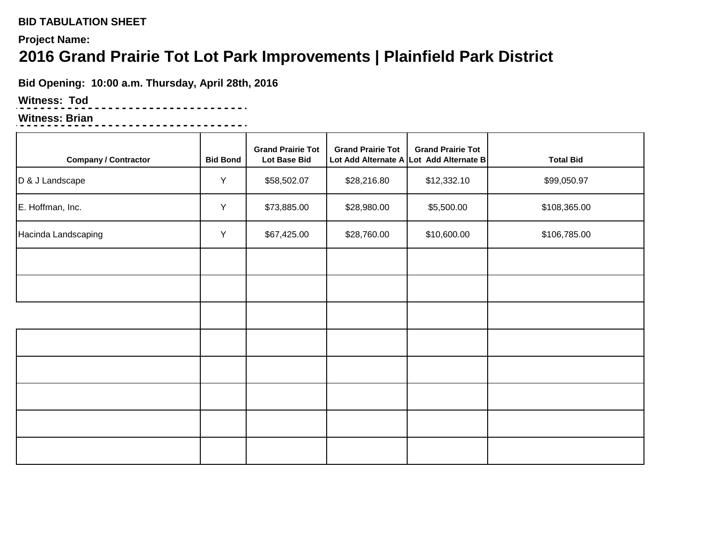## **Project Name:**

# **2016 Grand Prairie Tot Lot Park Improvements | Plainfield Park District**

**Bid Opening: 10:00 a.m. Thursday, April 28th, 2016**

<u>----------------</u>.

## **Witness: Tod**

### **Witness: Brian**

| <b>Company / Contractor</b> | <b>Bid Bond</b> | <b>Grand Prairie Tot</b><br><b>Lot Base Bid</b> | <b>Grand Prairie Tot</b><br>Lot Add Alternate A | <b>Grand Prairie Tot</b><br>Lot Add Alternate B | <b>Total Bid</b> |
|-----------------------------|-----------------|-------------------------------------------------|-------------------------------------------------|-------------------------------------------------|------------------|
| D & J Landscape             | Y               | \$58,502.07                                     | \$28,216.80                                     | \$12,332.10                                     | \$99,050.97      |
| E. Hoffman, Inc.            | Y               | \$73,885.00                                     | \$28,980.00                                     | \$5,500.00                                      | \$108,365.00     |
| Hacinda Landscaping         | Y               | \$67,425.00                                     | \$28,760.00                                     | \$10,600.00                                     | \$106,785.00     |
|                             |                 |                                                 |                                                 |                                                 |                  |
|                             |                 |                                                 |                                                 |                                                 |                  |
|                             |                 |                                                 |                                                 |                                                 |                  |
|                             |                 |                                                 |                                                 |                                                 |                  |
|                             |                 |                                                 |                                                 |                                                 |                  |
|                             |                 |                                                 |                                                 |                                                 |                  |
|                             |                 |                                                 |                                                 |                                                 |                  |
|                             |                 |                                                 |                                                 |                                                 |                  |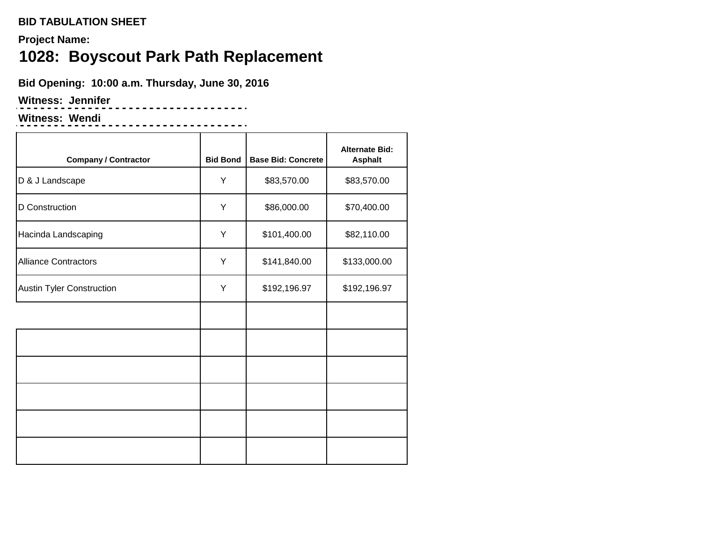**Project Name:**

# **1028: Boyscout Park Path Replacement**

<u> - - - - - - - - - - - - - .</u>

**Bid Opening: 10:00 a.m. Thursday, June 30, 2016**

**Witness: Jennifer**

**Witness: Wendi**

| <b>Company / Contractor</b>      | <b>Bid Bond</b> | <b>Base Bid: Concrete</b> | <b>Alternate Bid:</b><br><b>Asphalt</b> |
|----------------------------------|-----------------|---------------------------|-----------------------------------------|
| D & J Landscape                  | Υ               | \$83,570.00               | \$83,570.00                             |
| D Construction                   | Υ               | \$86,000.00               | \$70,400.00                             |
| Hacinda Landscaping              | Υ               | \$101,400.00              | \$82,110.00                             |
| <b>Alliance Contractors</b>      | Y               | \$141,840.00              | \$133,000.00                            |
| <b>Austin Tyler Construction</b> | Υ               | \$192,196.97              | \$192,196.97                            |
|                                  |                 |                           |                                         |
|                                  |                 |                           |                                         |
|                                  |                 |                           |                                         |
|                                  |                 |                           |                                         |
|                                  |                 |                           |                                         |
|                                  |                 |                           |                                         |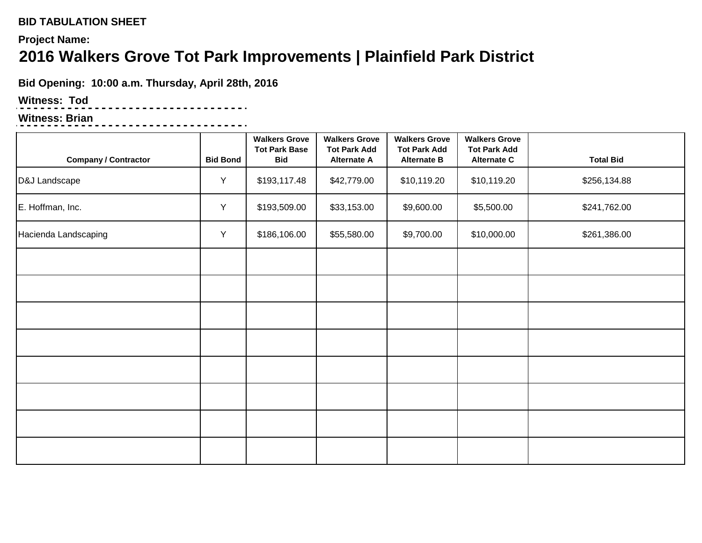# **Project Name: 2016 Walkers Grove Tot Park Improvements | Plainfield Park District**

**Bid Opening: 10:00 a.m. Thursday, April 28th, 2016**

. . . . . . . . . . . . . . . . . .

# **Witness: Tod**

# **Witness: Brian**

| <b>Company / Contractor</b> | <b>Bid Bond</b> | <b>Walkers Grove</b><br><b>Tot Park Base</b><br><b>Bid</b> | <b>Walkers Grove</b><br><b>Tot Park Add</b><br><b>Alternate A</b> | <b>Walkers Grove</b><br><b>Tot Park Add</b><br><b>Alternate B</b> | <b>Walkers Grove</b><br><b>Tot Park Add</b><br>Alternate C | <b>Total Bid</b> |
|-----------------------------|-----------------|------------------------------------------------------------|-------------------------------------------------------------------|-------------------------------------------------------------------|------------------------------------------------------------|------------------|
| D&J Landscape               | Y               | \$193,117.48                                               | \$42,779.00                                                       | \$10,119.20                                                       | \$10,119.20                                                | \$256,134.88     |
| E. Hoffman, Inc.            | Y               | \$193,509.00                                               | \$33,153.00                                                       | \$9,600.00                                                        | \$5,500.00                                                 | \$241,762.00     |
| Hacienda Landscaping        | Y               | \$186,106.00                                               | \$55,580.00                                                       | \$9,700.00                                                        | \$10,000.00                                                | \$261,386.00     |
|                             |                 |                                                            |                                                                   |                                                                   |                                                            |                  |
|                             |                 |                                                            |                                                                   |                                                                   |                                                            |                  |
|                             |                 |                                                            |                                                                   |                                                                   |                                                            |                  |
|                             |                 |                                                            |                                                                   |                                                                   |                                                            |                  |
|                             |                 |                                                            |                                                                   |                                                                   |                                                            |                  |
|                             |                 |                                                            |                                                                   |                                                                   |                                                            |                  |
|                             |                 |                                                            |                                                                   |                                                                   |                                                            |                  |
|                             |                 |                                                            |                                                                   |                                                                   |                                                            |                  |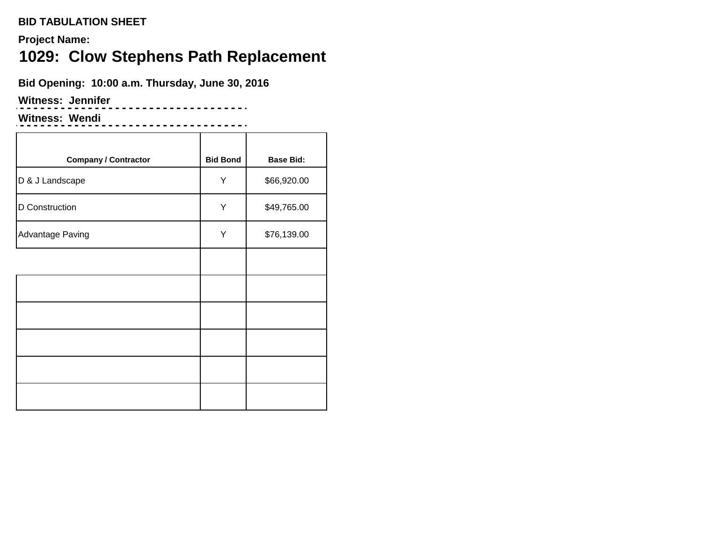**Project Name:**

# **1029: Clow Stephens Path Replacement**

. . . . . . . . . . . . . . . . . . .

**Bid Opening: 10:00 a.m. Thursday, June 30, 2016**

**Witness: Jennifer**

**Witness: Wendi**

--------------------

| <b>Company / Contractor</b> | <b>Bid Bond</b> | <b>Base Bid:</b> |
|-----------------------------|-----------------|------------------|
| D & J Landscape             | Υ               | \$66,920.00      |
| D Construction              | Υ               | \$49,765.00      |
| Advantage Paving            | Y               | \$76,139.00      |
|                             |                 |                  |
|                             |                 |                  |
|                             |                 |                  |
|                             |                 |                  |
|                             |                 |                  |
|                             |                 |                  |